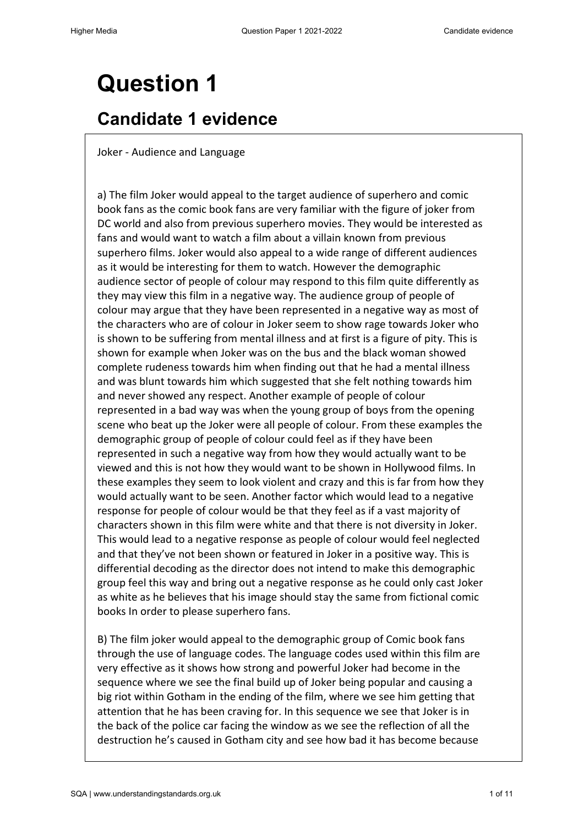## **Candidate 1 evidence**

Joker - Audience and Language

a) The film Joker would appeal to the target audience of superhero and comic book fans as the comic book fans are very familiar with the figure of joker from DC world and also from previous superhero movies. They would be interested as fans and would want to watch a film about a villain known from previous superhero films. Joker would also appeal to a wide range of different audiences as it would be interesting for them to watch. However the demographic audience sector of people of colour may respond to this film quite differently as they may view this film in a negative way. The audience group of people of colour may argue that they have been represented in a negative way as most of the characters who are of colour in Joker seem to show rage towards Joker who is shown to be suffering from mental illness and at first is a figure of pity. This is shown for example when Joker was on the bus and the black woman showed complete rudeness towards him when finding out that he had a mental illness and was blunt towards him which suggested that she felt nothing towards him and never showed any respect. Another example of people of colour represented in a bad way was when the young group of boys from the opening scene who beat up the Joker were all people of colour. From these examples the demographic group of people of colour could feel as if they have been represented in such a negative way from how they would actually want to be viewed and this is not how they would want to be shown in Hollywood films. In these examples they seem to look violent and crazy and this is far from how they would actually want to be seen. Another factor which would lead to a negative response for people of colour would be that they feel as if a vast majority of characters shown in this film were white and that there is not diversity in Joker. This would lead to a negative response as people of colour would feel neglected and that they've not been shown or featured in Joker in a positive way. This is differential decoding as the director does not intend to make this demographic group feel this way and bring out a negative response as he could only cast Joker as white as he believes that his image should stay the same from fictional comic books In order to please superhero fans.

B) The film joker would appeal to the demographic group of Comic book fans through the use of language codes. The language codes used within this film are very effective as it shows how strong and powerful Joker had become in the sequence where we see the final build up of Joker being popular and causing a big riot within Gotham in the ending of the film, where we see him getting that attention that he has been craving for. In this sequence we see that Joker is in the back of the police car facing the window as we see the reflection of all the destruction he's caused in Gotham city and see how bad it has become because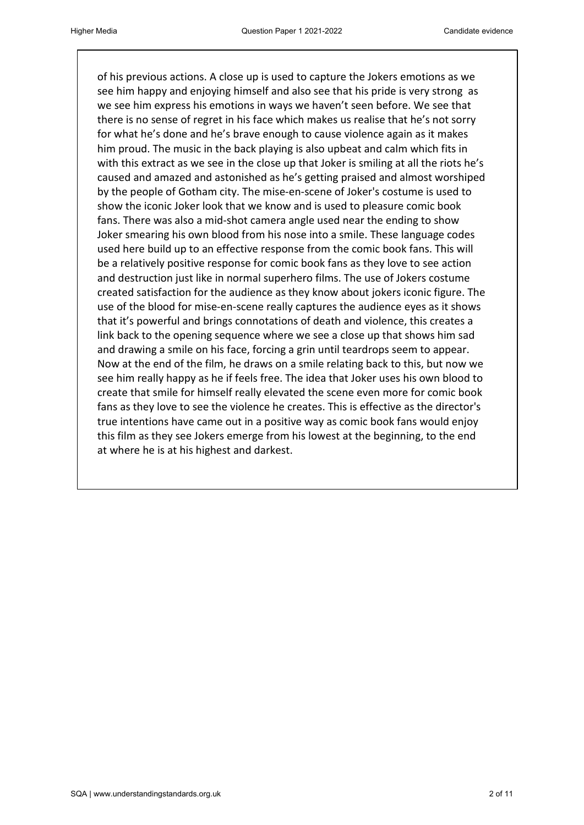of his previous actions. A close up is used to capture the Jokers emotions as we see him happy and enjoying himself and also see that his pride is very strong as we see him express his emotions in ways we haven't seen before. We see that there is no sense of regret in his face which makes us realise that he's not sorry for what he's done and he's brave enough to cause violence again as it makes him proud. The music in the back playing is also upbeat and calm which fits in with this extract as we see in the close up that Joker is smiling at all the riots he's caused and amazed and astonished as he's getting praised and almost worshiped by the people of Gotham city. The mise-en-scene of Joker's costume is used to show the iconic Joker look that we know and is used to pleasure comic book fans. There was also a mid-shot camera angle used near the ending to show Joker smearing his own blood from his nose into a smile. These language codes used here build up to an effective response from the comic book fans. This will be a relatively positive response for comic book fans as they love to see action and destruction just like in normal superhero films. The use of Jokers costume created satisfaction for the audience as they know about jokers iconic figure. The use of the blood for mise-en-scene really captures the audience eyes as it shows that it's powerful and brings connotations of death and violence, this creates a link back to the opening sequence where we see a close up that shows him sad and drawing a smile on his face, forcing a grin until teardrops seem to appear. Now at the end of the film, he draws on a smile relating back to this, but now we see him really happy as he if feels free. The idea that Joker uses his own blood to create that smile for himself really elevated the scene even more for comic book fans as they love to see the violence he creates. This is effective as the director's true intentions have came out in a positive way as comic book fans would enjoy this film as they see Jokers emerge from his lowest at the beginning, to the end at where he is at his highest and darkest.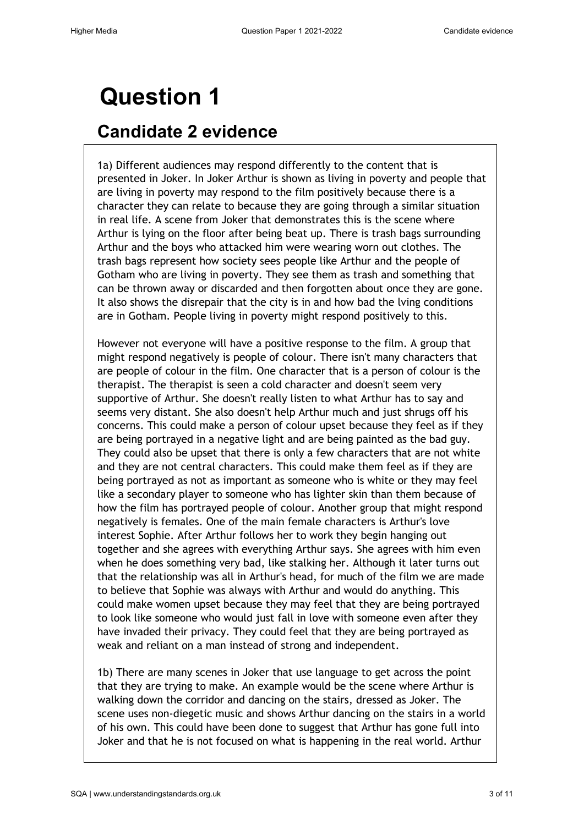### **Candidate 2 evidence**

1a) Different audiences may respond differently to the content that is presented in Joker. In Joker Arthur is shown as living in poverty and people that are living in poverty may respond to the film positively because there is a character they can relate to because they are going through a similar situation in real life. A scene from Joker that demonstrates this is the scene where Arthur is lying on the floor after being beat up. There is trash bags surrounding Arthur and the boys who attacked him were wearing worn out clothes. The trash bags represent how society sees people like Arthur and the people of Gotham who are living in poverty. They see them as trash and something that can be thrown away or discarded and then forgotten about once they are gone. It also shows the disrepair that the city is in and how bad the lving conditions are in Gotham. People living in poverty might respond positively to this.

However not everyone will have a positive response to the film. A group that might respond negatively is people of colour. There isn't many characters that are people of colour in the film. One character that is a person of colour is the therapist. The therapist is seen a cold character and doesn't seem very supportive of Arthur. She doesn't really listen to what Arthur has to say and seems very distant. She also doesn't help Arthur much and just shrugs off his concerns. This could make a person of colour upset because they feel as if they are being portrayed in a negative light and are being painted as the bad guy. They could also be upset that there is only a few characters that are not white and they are not central characters. This could make them feel as if they are being portrayed as not as important as someone who is white or they may feel like a secondary player to someone who has lighter skin than them because of how the film has portrayed people of colour. Another group that might respond negatively is females. One of the main female characters is Arthur's love interest Sophie. After Arthur follows her to work they begin hanging out together and she agrees with everything Arthur says. She agrees with him even when he does something very bad, like stalking her. Although it later turns out that the relationship was all in Arthur's head, for much of the film we are made to believe that Sophie was always with Arthur and would do anything. This could make women upset because they may feel that they are being portrayed to look like someone who would just fall in love with someone even after they have invaded their privacy. They could feel that they are being portrayed as weak and reliant on a man instead of strong and independent.

1b) There are many scenes in Joker that use language to get across the point that they are trying to make. An example would be the scene where Arthur is walking down the corridor and dancing on the stairs, dressed as Joker. The scene uses non-diegetic music and shows Arthur dancing on the stairs in a world of his own. This could have been done to suggest that Arthur has gone full into Joker and that he is not focused on what is happening in the real world. Arthur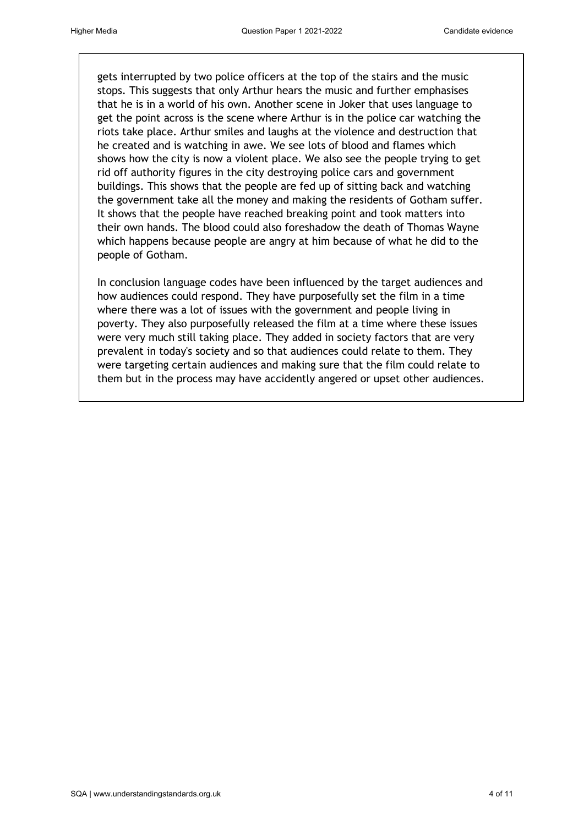gets interrupted by two police officers at the top of the stairs and the music stops. This suggests that only Arthur hears the music and further emphasises that he is in a world of his own. Another scene in Joker that uses language to get the point across is the scene where Arthur is in the police car watching the riots take place. Arthur smiles and laughs at the violence and destruction that he created and is watching in awe. We see lots of blood and flames which shows how the city is now a violent place. We also see the people trying to get rid off authority figures in the city destroying police cars and government buildings. This shows that the people are fed up of sitting back and watching the government take all the money and making the residents of Gotham suffer. It shows that the people have reached breaking point and took matters into their own hands. The blood could also foreshadow the death of Thomas Wayne which happens because people are angry at him because of what he did to the people of Gotham.

In conclusion language codes have been influenced by the target audiences and how audiences could respond. They have purposefully set the film in a time where there was a lot of issues with the government and people living in poverty. They also purposefully released the film at a time where these issues were very much still taking place. They added in society factors that are very prevalent in today's society and so that audiences could relate to them. They were targeting certain audiences and making sure that the film could relate to them but in the process may have accidently angered or upset other audiences.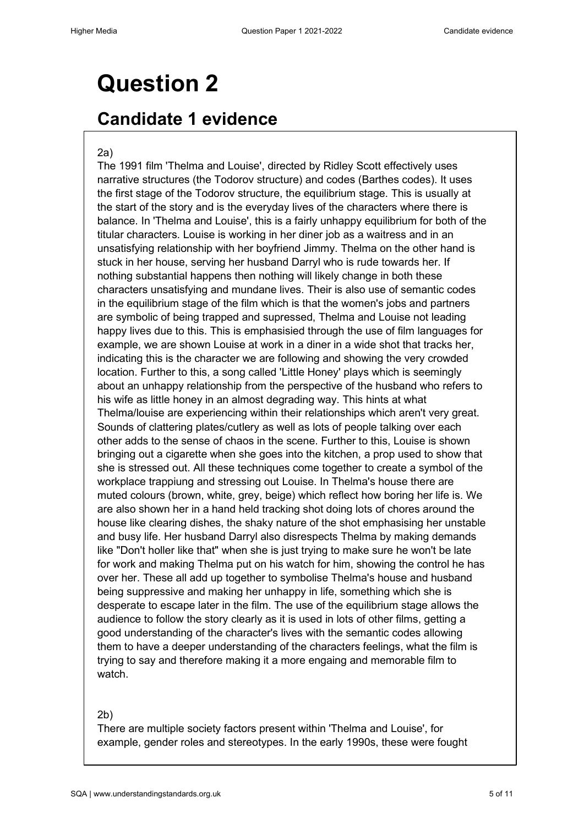#### **Candidate 1 evidence**

#### 2a)

The 1991 film 'Thelma and Louise', directed by Ridley Scott effectively uses narrative structures (the Todorov structure) and codes (Barthes codes). It uses the first stage of the Todorov structure, the equilibrium stage. This is usually at the start of the story and is the everyday lives of the characters where there is balance. In 'Thelma and Louise', this is a fairly unhappy equilibrium for both of the titular characters. Louise is working in her diner job as a waitress and in an unsatisfying relationship with her boyfriend Jimmy. Thelma on the other hand is stuck in her house, serving her husband Darryl who is rude towards her. If nothing substantial happens then nothing will likely change in both these characters unsatisfying and mundane lives. Their is also use of semantic codes in the equilibrium stage of the film which is that the women's jobs and partners are symbolic of being trapped and supressed, Thelma and Louise not leading happy lives due to this. This is emphasisied through the use of film languages for example, we are shown Louise at work in a diner in a wide shot that tracks her, indicating this is the character we are following and showing the very crowded location. Further to this, a song called 'Little Honey' plays which is seemingly about an unhappy relationship from the perspective of the husband who refers to his wife as little honey in an almost degrading way. This hints at what Thelma/louise are experiencing within their relationships which aren't very great. Sounds of clattering plates/cutlery as well as lots of people talking over each other adds to the sense of chaos in the scene. Further to this, Louise is shown bringing out a cigarette when she goes into the kitchen, a prop used to show that she is stressed out. All these techniques come together to create a symbol of the workplace trappiung and stressing out Louise. In Thelma's house there are muted colours (brown, white, grey, beige) which reflect how boring her life is. We are also shown her in a hand held tracking shot doing lots of chores around the house like clearing dishes, the shaky nature of the shot emphasising her unstable and busy life. Her husband Darryl also disrespects Thelma by making demands like "Don't holler like that" when she is just trying to make sure he won't be late for work and making Thelma put on his watch for him, showing the control he has over her. These all add up together to symbolise Thelma's house and husband being suppressive and making her unhappy in life, something which she is desperate to escape later in the film. The use of the equilibrium stage allows the audience to follow the story clearly as it is used in lots of other films, getting a good understanding of the character's lives with the semantic codes allowing them to have a deeper understanding of the characters feelings, what the film is trying to say and therefore making it a more engaing and memorable film to watch.

#### 2b)

There are multiple society factors present within 'Thelma and Louise', for example, gender roles and stereotypes. In the early 1990s, these were fought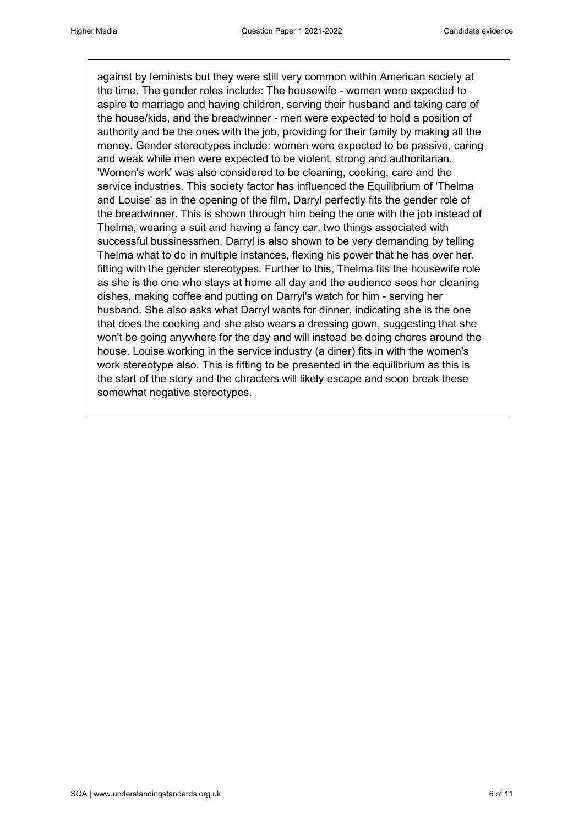against by feminists but they were still very common within American society at the time. The gender roles include: The housewife - women were expected to aspire to marriage and having children, serving their husband and taking care of the house/kids, and the breadwinner - men were expected to hold a position of authority and be the ones with the job, providing for their family by making all the money. Gender stereotypes include: women were expected to be passive, caring and weak while men were expected to be violent, strong and authoritarian. 'Women's work' was also considered to be cleaning, cooking, care and the service industries. This society factor has influenced the Equilibrium of 'Thelma and Louise' as in the opening of the film, Darryl perfectly fits the gender role of the breadwinner. This is shown through him being the one with the job instead of Thelma, wearing a suit and having a fancy car, two things associated with successful bussinessmen. Darryl is also shown to be very demanding by telling Thelma what to do in multiple instances, flexing his power that he has over her, fitting with the gender stereotypes. Further to this, Thelma fits the housewife role as she is the one who stays at home all day and the audience sees her cleaning dishes, making coffee and putting on Darryl's watch for him - serving her husband. She also asks what Darryl wants for dinner, indicating she is the one that does the cooking and she also wears a dressing gown, suggesting that she won't be going anywhere for the day and will instead be doing chores around the house. Louise working in the service industry (a diner) fits in with the women's work stereotype also. This is fitting to be presented in the equilibrium as this is the start of the story and the chracters will likely escape and soon break these somewhat negative stereotypes.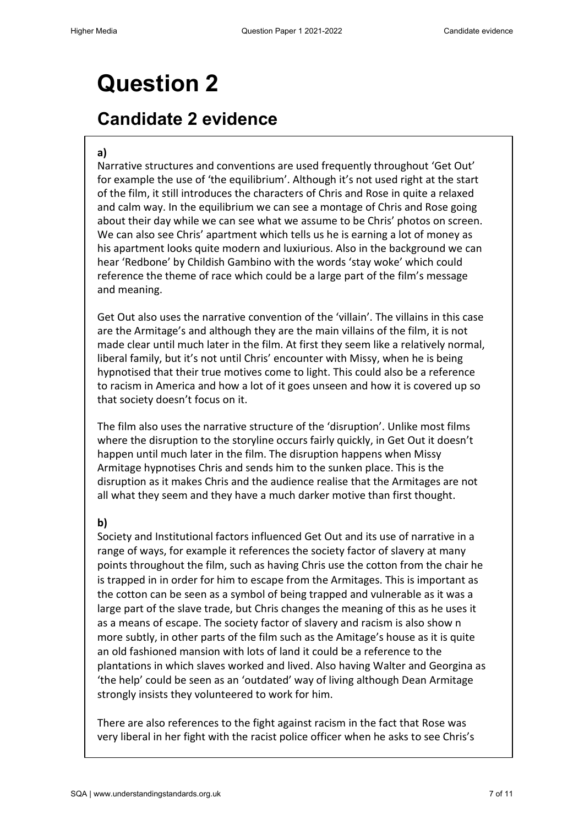### **Candidate 2 evidence**

#### **a)**

Narrative structures and conventions are used frequently throughout 'Get Out' for example the use of 'the equilibrium'. Although it's not used right at the start of the film, it still introduces the characters of Chris and Rose in quite a relaxed and calm way. In the equilibrium we can see a montage of Chris and Rose going about their day while we can see what we assume to be Chris' photos on screen. We can also see Chris' apartment which tells us he is earning a lot of money as his apartment looks quite modern and luxiurious. Also in the background we can hear 'Redbone' by Childish Gambino with the words 'stay woke' which could reference the theme of race which could be a large part of the film's message and meaning.

Get Out also uses the narrative convention of the 'villain'. The villains in this case are the Armitage's and although they are the main villains of the film, it is not made clear until much later in the film. At first they seem like a relatively normal, liberal family, but it's not until Chris' encounter with Missy, when he is being hypnotised that their true motives come to light. This could also be a reference to racism in America and how a lot of it goes unseen and how it is covered up so that society doesn't focus on it.

The film also uses the narrative structure of the 'disruption'. Unlike most films where the disruption to the storyline occurs fairly quickly, in Get Out it doesn't happen until much later in the film. The disruption happens when Missy Armitage hypnotises Chris and sends him to the sunken place. This is the disruption as it makes Chris and the audience realise that the Armitages are not all what they seem and they have a much darker motive than first thought.

#### **b)**

Society and Institutional factors influenced Get Out and its use of narrative in a range of ways, for example it references the society factor of slavery at many points throughout the film, such as having Chris use the cotton from the chair he is trapped in in order for him to escape from the Armitages. This is important as the cotton can be seen as a symbol of being trapped and vulnerable as it was a large part of the slave trade, but Chris changes the meaning of this as he uses it as a means of escape. The society factor of slavery and racism is also show n more subtly, in other parts of the film such as the Amitage's house as it is quite an old fashioned mansion with lots of land it could be a reference to the plantations in which slaves worked and lived. Also having Walter and Georgina as 'the help' could be seen as an 'outdated' way of living although Dean Armitage strongly insists they volunteered to work for him.

There are also references to the fight against racism in the fact that Rose was very liberal in her fight with the racist police officer when he asks to see Chris's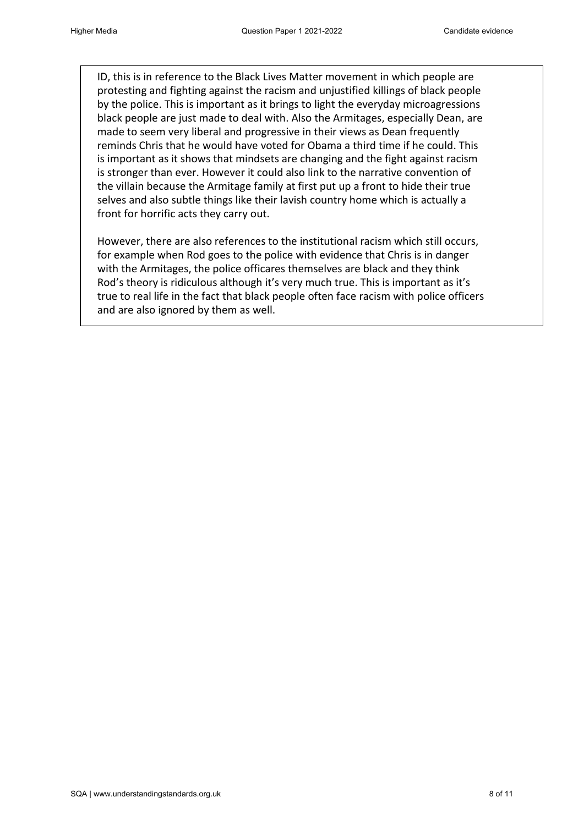ID, this is in reference to the Black Lives Matter movement in which people are protesting and fighting against the racism and unjustified killings of black people by the police. This is important as it brings to light the everyday microagressions black people are just made to deal with. Also the Armitages, especially Dean, are made to seem very liberal and progressive in their views as Dean frequently reminds Chris that he would have voted for Obama a third time if he could. This is important as it shows that mindsets are changing and the fight against racism is stronger than ever. However it could also link to the narrative convention of the villain because the Armitage family at first put up a front to hide their true selves and also subtle things like their lavish country home which is actually a front for horrific acts they carry out.

However, there are also references to the institutional racism which still occurs, for example when Rod goes to the police with evidence that Chris is in danger with the Armitages, the police officares themselves are black and they think Rod's theory is ridiculous although it's very much true. This is important as it's true to real life in the fact that black people often face racism with police officers and are also ignored by them as well.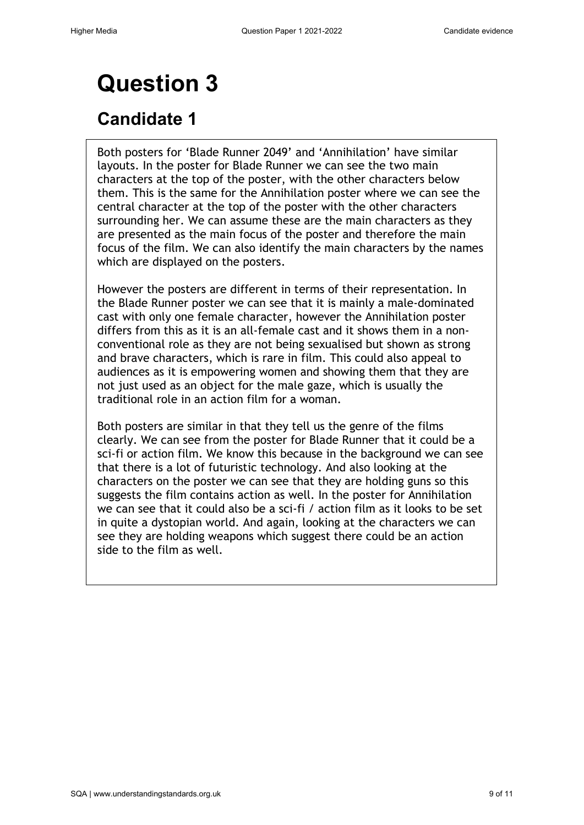### **Candidate 1**

Both posters for 'Blade Runner 2049' and 'Annihilation' have similar layouts. In the poster for Blade Runner we can see the two main characters at the top of the poster, with the other characters below them. This is the same for the Annihilation poster where we can see the central character at the top of the poster with the other characters surrounding her. We can assume these are the main characters as they are presented as the main focus of the poster and therefore the main focus of the film. We can also identify the main characters by the names which are displayed on the posters.

However the posters are different in terms of their representation. In the Blade Runner poster we can see that it is mainly a male-dominated cast with only one female character, however the Annihilation poster differs from this as it is an all-female cast and it shows them in a nonconventional role as they are not being sexualised but shown as strong and brave characters, which is rare in film. This could also appeal to audiences as it is empowering women and showing them that they are not just used as an object for the male gaze, which is usually the traditional role in an action film for a woman.

Both posters are similar in that they tell us the genre of the films clearly. We can see from the poster for Blade Runner that it could be a sci-fi or action film. We know this because in the background we can see that there is a lot of futuristic technology. And also looking at the characters on the poster we can see that they are holding guns so this suggests the film contains action as well. In the poster for Annihilation we can see that it could also be a sci-fi / action film as it looks to be set in quite a dystopian world. And again, looking at the characters we can see they are holding weapons which suggest there could be an action side to the film as well.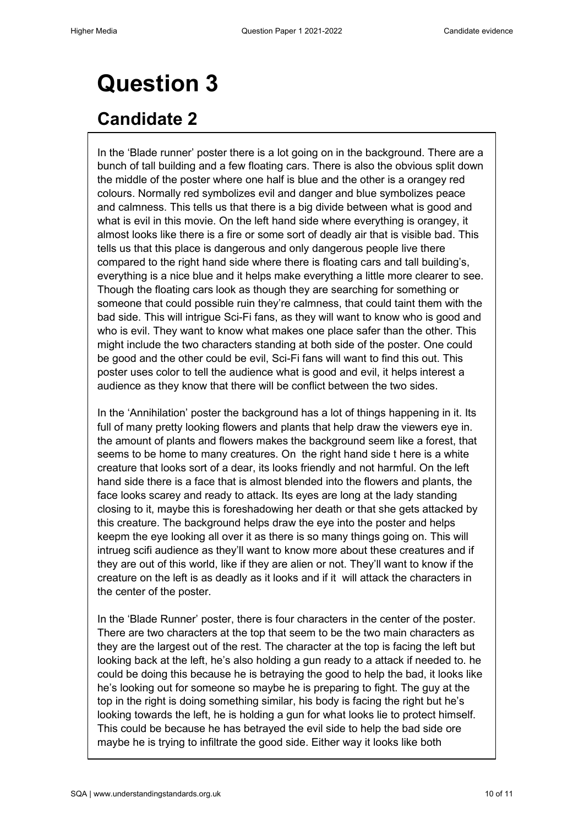### **Candidate 2**

In the 'Blade runner' poster there is a lot going on in the background. There are a bunch of tall building and a few floating cars. There is also the obvious split down the middle of the poster where one half is blue and the other is a orangey red colours. Normally red symbolizes evil and danger and blue symbolizes peace and calmness. This tells us that there is a big divide between what is good and what is evil in this movie. On the left hand side where everything is orangey, it almost looks like there is a fire or some sort of deadly air that is visible bad. This tells us that this place is dangerous and only dangerous people live there compared to the right hand side where there is floating cars and tall building's, everything is a nice blue and it helps make everything a little more clearer to see. Though the floating cars look as though they are searching for something or someone that could possible ruin they're calmness, that could taint them with the bad side. This will intrigue Sci-Fi fans, as they will want to know who is good and who is evil. They want to know what makes one place safer than the other. This might include the two characters standing at both side of the poster. One could be good and the other could be evil, Sci-Fi fans will want to find this out. This poster uses color to tell the audience what is good and evil, it helps interest a audience as they know that there will be conflict between the two sides.

In the 'Annihilation' poster the background has a lot of things happening in it. Its full of many pretty looking flowers and plants that help draw the viewers eye in. the amount of plants and flowers makes the background seem like a forest, that seems to be home to many creatures. On the right hand side t here is a white creature that looks sort of a dear, its looks friendly and not harmful. On the left hand side there is a face that is almost blended into the flowers and plants, the face looks scarey and ready to attack. Its eyes are long at the lady standing closing to it, maybe this is foreshadowing her death or that she gets attacked by this creature. The background helps draw the eye into the poster and helps keepm the eye looking all over it as there is so many things going on. This will intrueg scifi audience as they'll want to know more about these creatures and if they are out of this world, like if they are alien or not. They'll want to know if the creature on the left is as deadly as it looks and if it will attack the characters in the center of the poster.

In the 'Blade Runner' poster, there is four characters in the center of the poster. There are two characters at the top that seem to be the two main characters as they are the largest out of the rest. The character at the top is facing the left but looking back at the left, he's also holding a gun ready to a attack if needed to. he could be doing this because he is betraying the good to help the bad, it looks like he's looking out for someone so maybe he is preparing to fight. The guy at the top in the right is doing something similar, his body is facing the right but he's looking towards the left, he is holding a gun for what looks lie to protect himself. This could be because he has betrayed the evil side to help the bad side ore maybe he is trying to infiltrate the good side. Either way it looks like both